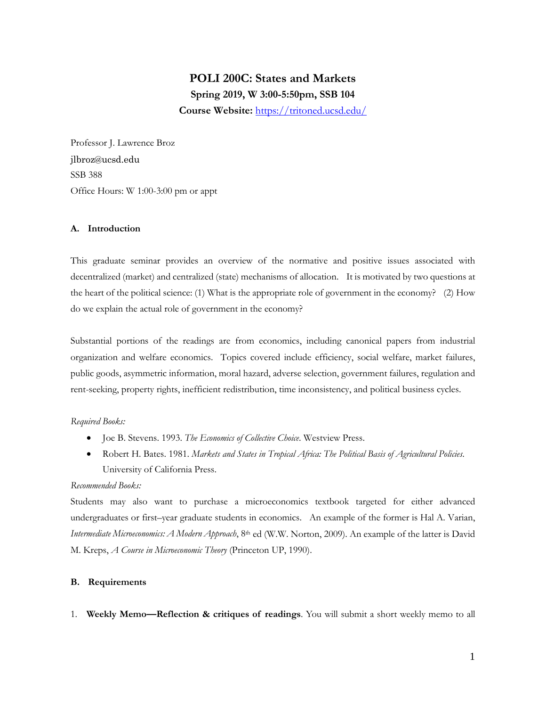# **POLI 200C: States and Markets Spring 2019, W 3:00-5:50pm, SSB 104 Course Website:** <https://tritoned.ucsd.edu/>

Professor J. Lawrence Broz jlbroz@ucsd.edu SSB 388 Office Hours: W 1:00-3:00 pm or appt

### **A. Introduction**

This graduate seminar provides an overview of the normative and positive issues associated with decentralized (market) and centralized (state) mechanisms of allocation. It is motivated by two questions at the heart of the political science: (1) What is the appropriate role of government in the economy? (2) How do we explain the actual role of government in the economy?

Substantial portions of the readings are from economics, including canonical papers from industrial organization and welfare economics. Topics covered include efficiency, social welfare, market failures, public goods, asymmetric information, moral hazard, adverse selection, government failures, regulation and rent-seeking, property rights, inefficient redistribution, time inconsistency, and political business cycles.

### *Required Books:*

- Joe B. Stevens. 1993. *The Economics of Collective Choice*. Westview Press.
- Robert H. Bates. 1981. *Markets and States in Tropical Africa: The Political Basis of Agricultural Policies*. University of California Press.

### *Recommended Books:*

Students may also want to purchase a microeconomics textbook targeted for either advanced undergraduates or first–year graduate students in economics. An example of the former is Hal A. Varian, *Intermediate Microeconomics: A Modern Approach*, 8<sup>th</sup> ed (W.W. Norton, 2009). An example of the latter is David M. Kreps, *A Course in Microeconomic Theory* (Princeton UP, 1990).

### **B. Requirements**

1. **Weekly Memo—Reflection & critiques of readings**. You will submit a short weekly memo to all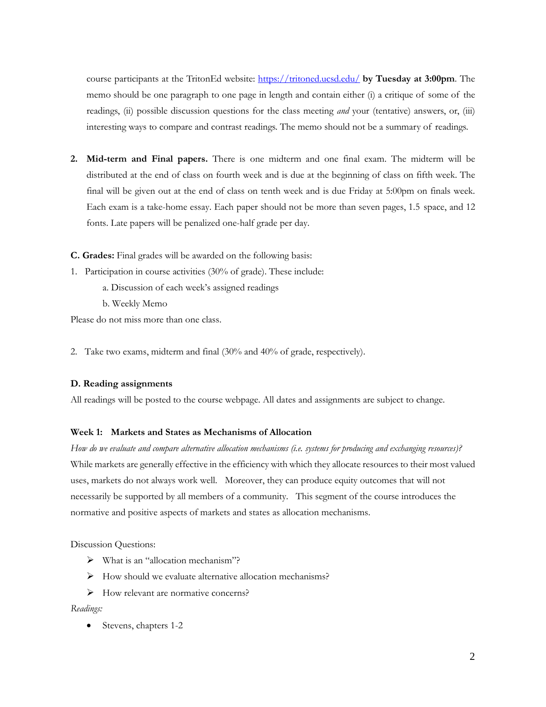course participants at the TritonEd website:<https://tritoned.ucsd.edu/> **by Tuesday at 3:00pm**. The memo should be one paragraph to one page in length and contain either (i) a critique of some of the readings, (ii) possible discussion questions for the class meeting *and* your (tentative) answers, or, (iii) interesting ways to compare and contrast readings. The memo should not be a summary of readings.

- **2. Mid-term and Final papers.** There is one midterm and one final exam. The midterm will be distributed at the end of class on fourth week and is due at the beginning of class on fifth week. The final will be given out at the end of class on tenth week and is due Friday at 5:00pm on finals week. Each exam is a take-home essay. Each paper should not be more than seven pages, 1.5 space, and 12 fonts. Late papers will be penalized one-half grade per day.
- **C. Grades:** Final grades will be awarded on the following basis:
- 1. Participation in course activities (30% of grade). These include:
	- a. Discussion of each week's assigned readings
	- b. Weekly Memo

Please do not miss more than one class.

2. Take two exams, midterm and final (30% and 40% of grade, respectively).

### **D. Reading assignments**

All readings will be posted to the course webpage. All dates and assignments are subject to change.

### **Week 1: Markets and States as Mechanisms of Allocation**

*How do we evaluate and compare alternative allocation mechanisms (i.e. systems for producing and exchanging resources)?* While markets are generally effective in the efficiency with which they allocate resources to their most valued uses, markets do not always work well. Moreover, they can produce equity outcomes that will not necessarily be supported by all members of a community. This segment of the course introduces the normative and positive aspects of markets and states as allocation mechanisms.

Discussion Questions:

- What is an "allocation mechanism"?
- $\triangleright$  How should we evaluate alternative allocation mechanisms?
- How relevant are normative concerns?

#### *Readings:*

• Stevens, chapters 1-2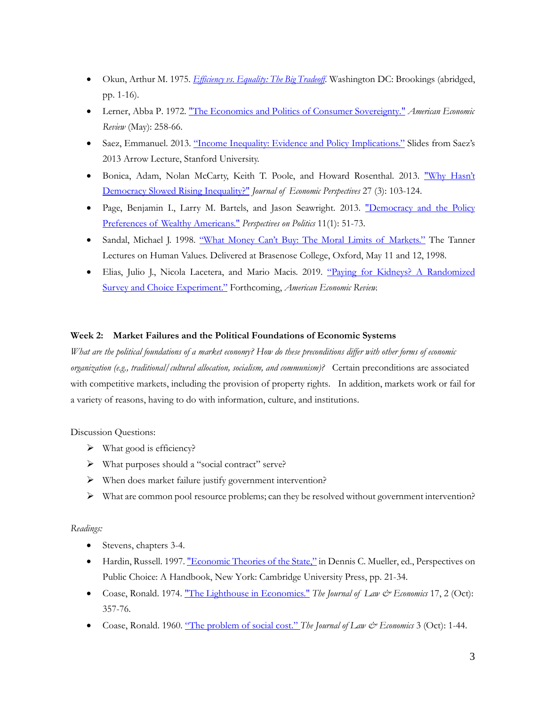- Okun, Arthur M. 1975. *[Efficiency vs. Equality: The Big Tradeoff](https://tritoned.ucsd.edu/bbcswebdav/xid-9612488_1)*. Washington DC: Brookings (abridged, pp. 1-16).
- Lerner, Abba P. 1972[. "The Economics and Politics of Consumer Sovereignty."](http://www.jstor.org/stable/1821551) *American Economic Review* (May): 258-66.
- Saez, Emmanuel. 2013. ["Income Inequality: Evidence and Policy Implications."](https://tritoned.ucsd.edu/bbcswebdav/xid-9612487_1) Slides from Saez's 2013 Arrow Lecture, Stanford University.
- Bonica, Adam, Nolan McCarty, Keith T. Poole, and Howard Rosenthal. 2013. ["Why Hasn't](https://www.aeaweb.org/articles?id=10.1257/jep.27.3.103)  [Democracy Slowed Rising Inequality?"](https://www.aeaweb.org/articles?id=10.1257/jep.27.3.103) *Journal of Economic Perspectives* 27 (3): 103-124.
- Page, Benjamin I., Larry M. Bartels, and Jason Seawright. 2013. "Democracy and the Policy [Preferences of Wealthy Americans."](https://doi.org/10.1017/S153759271200360X) *Perspectives on Politics* 11(1): 51-73.
- Sandal, Michael J. 1998. "What Money [Can't Buy: The Moral Limits of Markets."](https://tritoned.ucsd.edu/bbcswebdav/xid-9612489_1) The Tanner Lectures on Human Values. Delivered at Brasenose College, Oxford, May 11 and 12, 1998.
- Elias, Julio J., Nicola Lacetera, and Mario Macis. 2019. ["Paying for Kidneys? A Randomized](https://www.nber.org/papers/w25581)  [Survey and Choice Experiment."](https://www.nber.org/papers/w25581) Forthcoming, *American Economic Review.*

# **Week 2: Market Failures and the Political Foundations of Economic Systems**

*What are the political foundations of a market economy? How do these preconditions differ with other forms of economic organization (e.g., traditional/cultural allocation, socialism, and communism)?* Certain preconditions are associated with competitive markets, including the provision of property rights. In addition, markets work or fail for a variety of reasons, having to do with information, culture, and institutions.

Discussion Questions:

- $\triangleright$  What good is efficiency?
- What purposes should a "social contract" serve?
- When does market failure justify government intervention?
- $\triangleright$  What are common pool resource problems; can they be resolved without government intervention?

- Stevens, chapters 3-4.
- Hardin, Russell. 1997[. "Economic Theories of the State,"](https://tritoned.ucsd.edu/bbcswebdav/xid-9612491_1) in Dennis C. Mueller, ed., Perspectives on Public Choice: A Handbook, New York: Cambridge University Press, pp. 21-34.
- Coase, Ronald. 1974. ["The Lighthouse in Economics."](http://www.jstor.org/stable/724895) *The Journal of Law & Economics* 17, 2 (Oct): 357-76.
- Coase, Ronald. 1960. ["The problem of social cost."](http://www.jstor.org/stable/724810) *The Journal of Law & Economics* 3 (Oct): 1-44.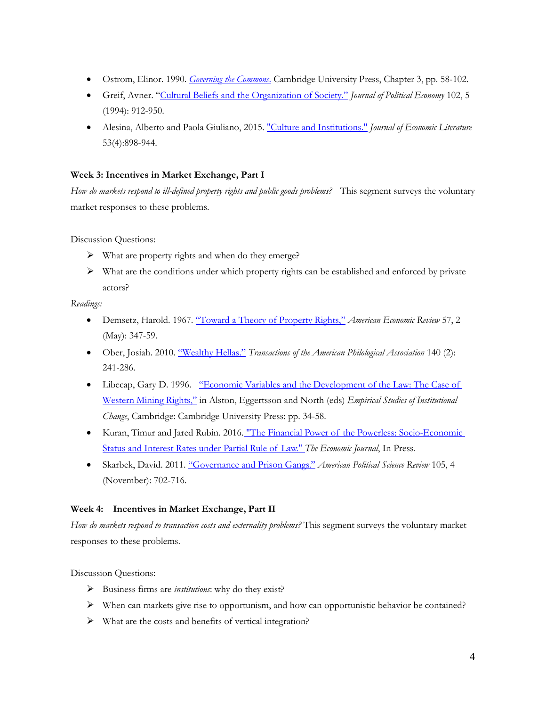- Ostrom, Elinor. 1990. *[Governing the Commons](https://tritoned.ucsd.edu/bbcswebdav/xid-9612492_1)*. Cambridge University Press, Chapter 3, pp. 58-102.
- Greif, Avner. ["Cultural Beliefs and the Organization of Society."](http://www.jstor.org/stable/2138652) *Journal of Political Economy* 102, 5 (1994): 912-950.
- Alesina, Alberto and Paola Giuliano, 2015. ["Culture and Institutions."](https://www.aeaweb.org/articles?id=10.1257/jel.53.4.898) *Journal of Economic Literature* 53(4):898-944.

# **Week 3: Incentives in Market Exchange, Part I**

*How do markets respond to ill-defined property rights and public goods problems?*This segment surveys the voluntary market responses to these problems.

Discussion Questions:

- $\triangleright$  What are property rights and when do they emerge?
- $\triangleright$  What are the conditions under which property rights can be established and enforced by private actors?

*Readings:*

- Demsetz, Harold. 1967. ["Toward a Theory of Property Rights,"](http://www.jstor.org/stable/1821637) *American Economic Review* 57, 2 (May): 347-59.
- Ober, Josiah. 2010. ["Wealthy Hellas."](http://www.jstor.org/stable/40890980) *Transactions of the American Philological Association* 140 (2): 241-286.
- Libecap, Gary D. 1996. ["Economic Variables and the Development of the Law: The Case of](https://tritoned.ucsd.edu/bbcswebdav/xid-9612493_1)  [Western Mining Rights,"](https://tritoned.ucsd.edu/bbcswebdav/xid-9612493_1) in Alston, Eggertsson and North (eds) *Empirical Studies of Institutional Change*, Cambridge: Cambridge University Press: pp. 34-58.
- Kuran, Timur and Jared Rubin. 2016. ["The Financial Power of the Powerless: Socio-Economic](http://dx.doi.org/10.1111/ecoj.12389)  [Status and Interest Rates under Partial Rule of Law."](http://dx.doi.org/10.1111/ecoj.12389) *The Economic Journal*, In Press.
- Skarbek, David. 2011. ["Governance and Prison Gangs."](http://www.jstor.org/stable/23275348) *American Political Science Review* 105, 4 (November): 702-716.

# **Week 4: Incentives in Market Exchange, Part II**

*How do markets respond to transaction costs and externality problems?* This segment surveys the voluntary market responses to these problems.

Discussion Questions:

- Business firms are *institutions*: why do they exist?
- $\triangleright$  When can markets give rise to opportunism, and how can opportunistic behavior be contained?
- $\triangleright$  What are the costs and benefits of vertical integration?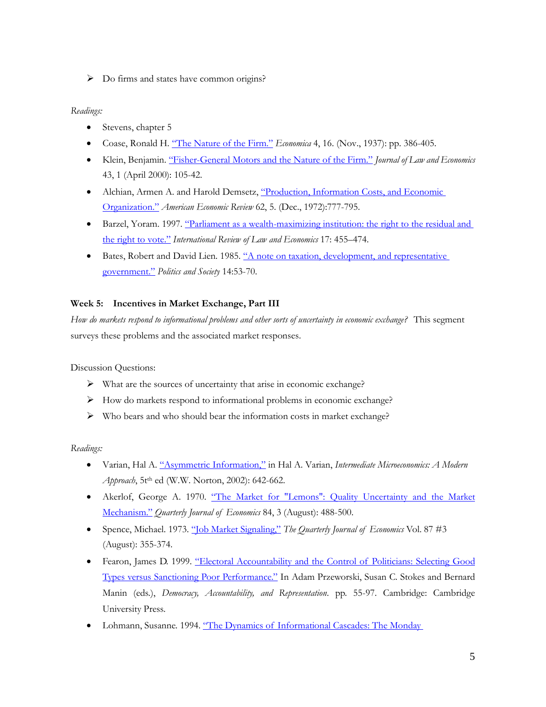> Do firms and states have common origins?

# *Readings:*

- Stevens, chapter 5
- Coase, Ronald H. ["The Nature of the Firm."](http://www.jstor.org/stable/2626876) *Economica* 4, 16. (Nov., 1937): pp. 386-405.
- Klein, Benjamin. ["Fisher-General Motors and the Nature of the Firm."](http://www.jstor.org/stable/725748) *Journal of Law and Economics* 43, 1 (April 2000): 105-42.
- Alchian, Armen A. and Harold Demsetz, ["Production, Information Costs, and Economic](http://www.jstor.org/stable/1815199)  [Organization."](http://www.jstor.org/stable/1815199) *American Economic Review* 62, 5. (Dec., 1972):777-795.
- Barzel, Yoram. 1997. ["Parliament as a wealth-maximizing institution: the right to the residual and](http://www.sciencedirect.com/science/article/pii/S0144818897000331)  [the right to vote."](http://www.sciencedirect.com/science/article/pii/S0144818897000331) *International Review of Law and Economics* 17: 455–474.
- Bates, Robert and David Lien. 1985. ["A note on taxation, development, and representative](http://journals.sagepub.com/doi/abs/10.1177/003232928501400102)  [government."](http://journals.sagepub.com/doi/abs/10.1177/003232928501400102) *Politics and Society* 14:53-70.

# **Week 5: Incentives in Market Exchange, Part III**

*How do markets respond to informational problems and other sorts of uncertainty in economic exchange?* This segment surveys these problems and the associated market responses.

Discussion Questions:

- $\triangleright$  What are the sources of uncertainty that arise in economic exchange?
- How do markets respond to informational problems in economic exchange?
- $\triangleright$  Who bears and who should bear the information costs in market exchange?

- Varian, Hal A. ["Asymmetric Information,"](https://tritoned.ucsd.edu/bbcswebdav/xid-9612496_1) in Hal A. Varian, *Intermediate Microeconomics: A Modern Approach*, 5t<sup>th</sup> ed (W.W. Norton, 2002): 642-662.
- Akerlof, George A. 1970. ["The Market for "Lemons": Quality Uncertainty and the Market](http://www.jstor.org/stable/1879431)  [Mechanism."](http://www.jstor.org/stable/1879431) *Quarterly Journal of Economics* 84, 3 (August): 488-500.
- Spence, Michael. 1973. ["Job Market Signaling,"](http://www.jstor.org/stable/1882010) *The Quarterly Journal of Economics* Vol. 87 #3 (August): 355-374.
- Fearon, James D. 1999. "Electoral Accountability and the Control of Politicians: Selecting Good [Types versus Sanctioning Poor Performance."](https://tritoned.ucsd.edu/bbcswebdav/xid-9612497_1) In Adam Przeworski, Susan C. Stokes and Bernard Manin (eds.), *Democracy, Accountability, and Representation*. pp. 55-97. Cambridge: Cambridge University Press.
- Lohmann, Susanne. 1994. "The Dynamics of Informational Cascades: The Monday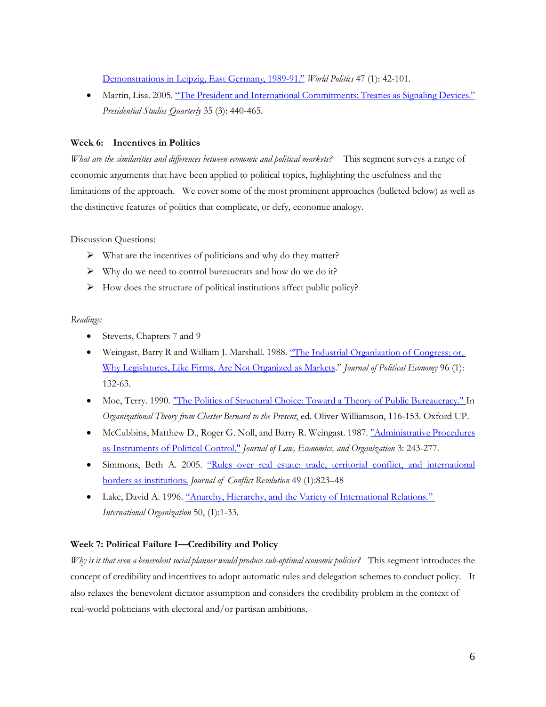[Demonstrations in Leipzig, East Germany, 1989-91."](http://www.jstor.org/stable/2950679) *World Politics* 47 (1): 42-101.

• Martin, Lisa. 2005[. "The President and International Commitments: Treaties as Signaling Devices."](http://www.jstor.org/stable/27552700)  *Presidential Studies Quarterly* 35 (3): 440-465.

# **Week 6: Incentives in Politics**

*What are the similarities and differences between economic and political markets?* This segment surveys a range of economic arguments that have been applied to political topics, highlighting the usefulness and the limitations of the approach. We cover some of the most prominent approaches (bulleted below) as well as the distinctive features of politics that complicate, or defy, economic analogy.

Discussion Questions:

- $\triangleright$  What are the incentives of politicians and why do they matter?
- $\triangleright$  Why do we need to control bureaucrats and how do we do it?
- $\triangleright$  How does the structure of political institutions affect public policy?

### *Readings:*

- Stevens, Chapters 7 and 9
- Weingast, Barry R and William J. Marshall. 1988. ["The Industrial Organization of Congress; or,](http://www.jstor.org/stable/1830714)  [Why Legislatures, Like Firms, Are Not](http://www.jstor.org/stable/1830714) Organized as Markets." *Journal of Political Economy* 96 (1): 132-63.
- Moe, Terry. 1990. ["The Politics of Structural Choice: Toward a Theory of Public Bureaucracy." I](https://tritoned.ucsd.edu/bbcswebdav/xid-9612498_1)n *Organizational Theory from Chester Bernard to the Present*, ed. Oliver Williamson, 116-153. Oxford UP.
- McCubbins, Matthew D., Roger G. Noll, and Barry R. Weingast. 1987. ["Administrative Procedures](http://www.jstor.org/stable/764829)  [as Instruments of Political Control."](http://www.jstor.org/stable/764829) *Journal of Law, Economics, and Organization* 3: 243-277.
- Simmons, Beth A. 2005. "Rules over real estate: trade, territorial conflict, and international [borders as institutions.](http://www.jstor.org/stable/30045138) *Journal of Conflict Resolution* 49 (1):823–48
- Lake, David A. 1996. ["Anarchy, Hierarchy, and the Variety of International Relations."](http://www.jstor.org/stable/2706997)  *International Organization* 50, (1):1-33.

# **Week 7: Political Failure I—Credibility and Policy**

*Why is it that even a benevolent social planner would produce sub-optimal economic policies?* This segment introduces the concept of credibility and incentives to adopt automatic rules and delegation schemes to conduct policy. It also relaxes the benevolent dictator assumption and considers the credibility problem in the context of real-world politicians with electoral and/or partisan ambitions.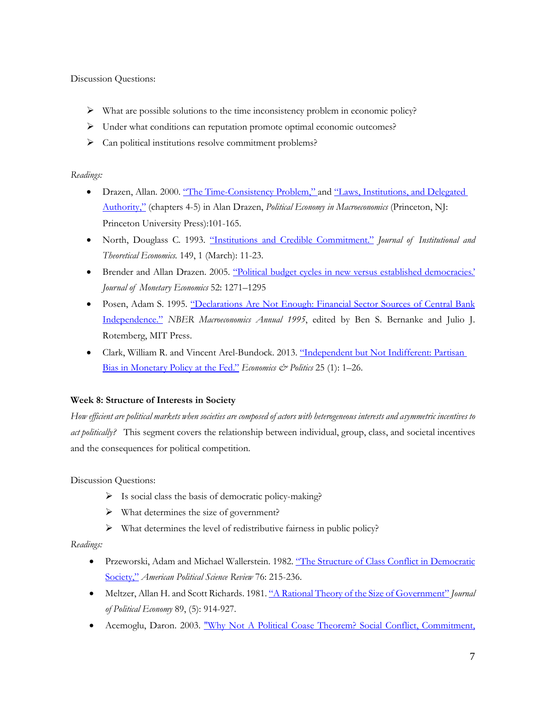Discussion Questions:

- What are possible solutions to the time inconsistency problem in economic policy?
- Under what conditions can reputation promote optimal economic outcomes?
- Can political institutions resolve commitment problems?

# *Readings:*

- Drazen, Allan. 2000. ["The Time-Consistency Problem," a](https://tritoned.ucsd.edu/bbcswebdav/xid-9612500_1)nd "Laws, Institutions, and Delegated [Authority,"](https://tritoned.ucsd.edu/bbcswebdav/xid-9612501_1) (chapters 4-5) in Alan Drazen, *Political Economy in Macroeconomics* (Princeton, NJ: Princeton University Press):101-165.
- North, Douglass C. 1993. ["Institutions and Credible Commitment."](http://www.jstor.org/stable/40751576) *Journal of Institutional and Theoretical Economics.* 149, 1 (March): 11-23.
- Brender and Allan Drazen. 2005. ["Political budget cycles in new versus established democracies.'](http://www.sciencedirect.com/science/article/pii/S0304393205000887)  *Journal of Monetary Economics* 52: 1271–1295
- Posen, Adam S. 1995. "Declarations Are Not Enough: Financial Sector Sources of Central Bank [Independence."](http://www.nber.org/chapters/c11021) *NBER Macroeconomics Annual 1995*, edited by Ben S. Bernanke and Julio J. Rotemberg, MIT Press.
- Clark, William R. and Vincent Arel-Bundock. 2013. ["Independent but Not Indifferent: Partisan](http://onlinelibrary.wiley.com/doi/10.1111/ecpo.12006/abstract)  [Bias in Monetary Policy at the Fed."](http://onlinelibrary.wiley.com/doi/10.1111/ecpo.12006/abstract) *Economics & Politics* 25 (1): 1–26.

# **Week 8: Structure of Interests in Society**

*How efficient are political markets when societies are composed of actors with heterogeneous interests and asymmetric incentives to act politically?* This segment covers the relationship between individual, group, class, and societal incentives and the consequences for political competition.

Discussion Questions:

- $\triangleright$  Is social class the basis of democratic policy-making?
- What determines the size of government?
- $\triangleright$  What determines the level of redistributive fairness in public policy?

- Przeworski, Adam and Michael Wallerstein. 1982. ["The Structure of Class Conflict in Democratic](http://www.jstor.org/stable/1961105)  [Society,"](http://www.jstor.org/stable/1961105) *American Political Science Review* 76: 215-236.
- Meltzer, Allan H. and Scott Richards. 1981. ["A Rational Theory of the Size of Government"](http://www.jstor.org/stable/1830813) *Journal of Political Economy* 89, (5): 914-927.
- Acemoglu, Daron. 2003. ["Why Not A Political Coase Theorem? Social Conflict, Commitment,](http://www.sciencedirect.com/science/article/pii/S014759670300101X)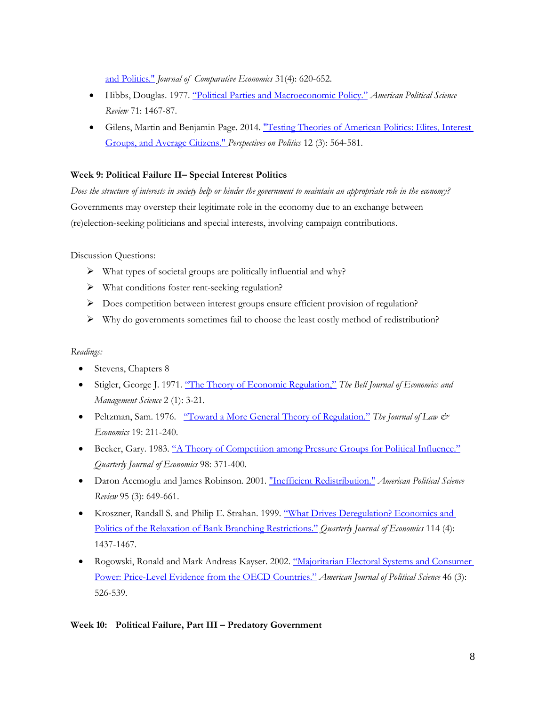[and Politics."](http://www.sciencedirect.com/science/article/pii/S014759670300101X) *Journal of Comparative Economics* 31(4): 620-652.

- Hibbs, Douglas. 1977[. "Political Parties and Macroeconomic Policy."](http://www.jstor.org/stable/1961490) *American Political Science Review* 71: 1467-87.
- Gilens, Martin and Benjamin Page. 2014. ["Testing Theories of American Politics: Elites, Interest](https://doi.org/10.1017/S1537592714001595)  [Groups, and Average Citizens."](https://doi.org/10.1017/S1537592714001595) *Perspectives on Politics* 12 (3): 564-581.

# **Week 9: Political Failure II– Special Interest Politics**

*Does the structure of interests in society help or hinder the government to maintain an appropriate role in the economy?* Governments may overstep their legitimate role in the economy due to an exchange between (re)election-seeking politicians and special interests, involving campaign contributions.

Discussion Questions:

- $\triangleright$  What types of societal groups are politically influential and why?
- What conditions foster rent-seeking regulation?
- Does competition between interest groups ensure efficient provision of regulation?
- $\triangleright$  Why do governments sometimes fail to choose the least costly method of redistribution?

#### *Readings:*

- Stevens, Chapters 8
- Stigler, George J. 1971. ["The Theory of Economic Regulation,"](http://www.jstor.org/stable/3003160) *The Bell Journal of Economics and Management Science* 2 (1): 3-21.
- Peltzman, Sam. 1976. ["Toward a More General Theory of Regulation."](http://www.jstor.org/stable/725163) *The Journal of Law & Economics* 19: 211-240.
- Becker, Gary. 1983. ["A Theory of Competition among Pressure](http://www.jstor.org/stable/1886017) Groups for Political Influence." *Quarterly Journal of Economics* 98: 371-400.
- Daron Acemoglu and James Robinson. 2001[. "Inefficient Redistribution."](https://www.jstor.org/stable/3118239) *American Political Science Review* 95 (3): 649-661.
- Kroszner, Randall S. and Philip E. Strahan. 1999. "What Drives Deregulation? Economics and [Politics of the Relaxation of Bank Branching Restrictions."](https://doi.org/10.1162/003355399556223) *Quarterly Journal of Economics* 114 (4): 1437-1467.
- Rogowski, Ronald and Mark Andreas Kayser. 2002. ["Majoritarian Electoral Systems and Consumer](http://www.jstor.org/stable/3088397)  [Power: Price-Level Evidence from the OECD Countries."](http://www.jstor.org/stable/3088397) *American Journal of Political Science* 46 (3): 526-539.

### **Week 10: Political Failure, Part III – Predatory Government**